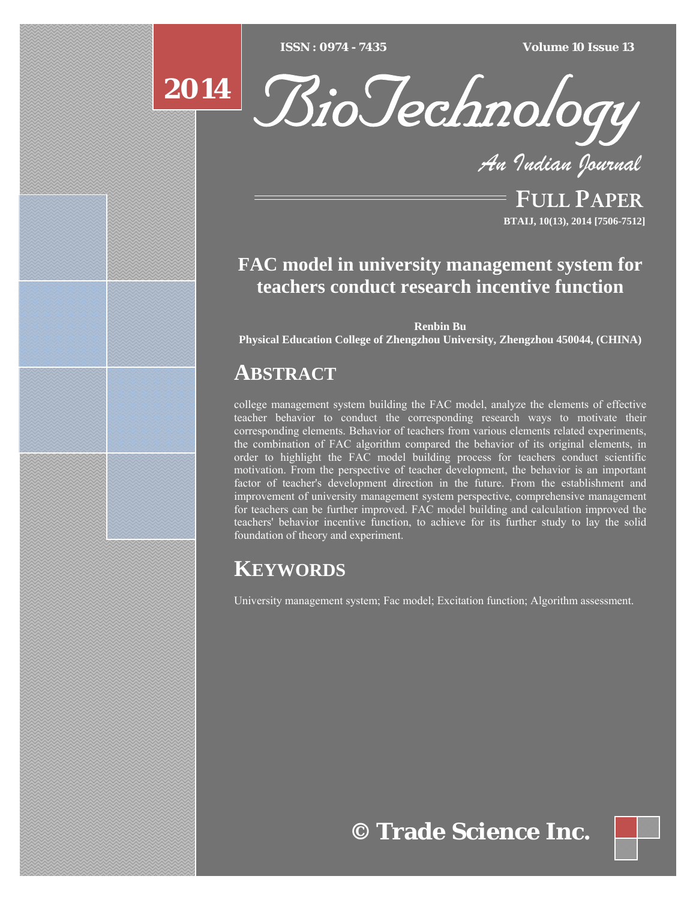$ISSN : 0974 - 7435$ 

*ISSN : 0974 - 7435 Volume 10 Issue 13*

# **2014**



*An Indian Journal*

FULL PAPER **BTAIJ, 10(13), 2014 [7506-7512]**

### **FAC model in university management system for teachers conduct research incentive function**

**Renbin Bu** 

**Physical Education College of Zhengzhou University, Zhengzhou 450044, (CHINA)**

### **ABSTRACT**

college management system building the FAC model, analyze the elements of effective teacher behavior to conduct the corresponding research ways to motivate their corresponding elements. Behavior of teachers from various elements related experiments, the combination of FAC algorithm compared the behavior of its original elements, in order to highlight the FAC model building process for teachers conduct scientific motivation. From the perspective of teacher development, the behavior is an important factor of teacher's development direction in the future. From the establishment and improvement of university management system perspective, comprehensive management for teachers can be further improved. FAC model building and calculation improved the teachers' behavior incentive function, to achieve for its further study to lay the solid foundation of theory and experiment.

### **KEYWORDS**

University management system; Fac model; Excitation function; Algorithm assessment.

## **© Trade Science Inc.**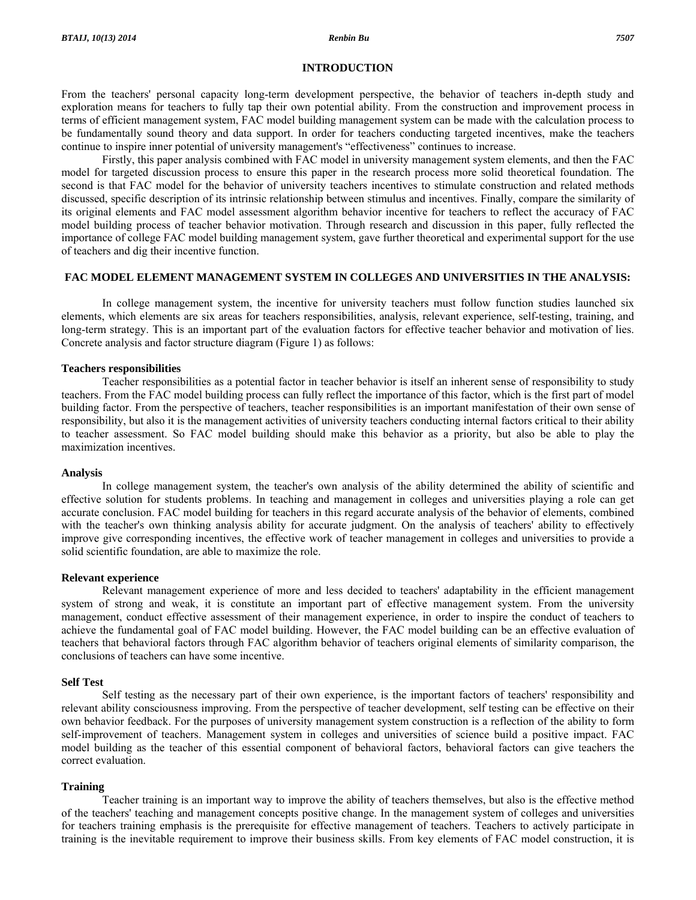#### **INTRODUCTION**

From the teachers' personal capacity long-term development perspective, the behavior of teachers in-depth study and exploration means for teachers to fully tap their own potential ability. From the construction and improvement process in terms of efficient management system, FAC model building management system can be made with the calculation process to be fundamentally sound theory and data support. In order for teachers conducting targeted incentives, make the teachers continue to inspire inner potential of university management's "effectiveness" continues to increase.

 Firstly, this paper analysis combined with FAC model in university management system elements, and then the FAC model for targeted discussion process to ensure this paper in the research process more solid theoretical foundation. The second is that FAC model for the behavior of university teachers incentives to stimulate construction and related methods discussed, specific description of its intrinsic relationship between stimulus and incentives. Finally, compare the similarity of its original elements and FAC model assessment algorithm behavior incentive for teachers to reflect the accuracy of FAC model building process of teacher behavior motivation. Through research and discussion in this paper, fully reflected the importance of college FAC model building management system, gave further theoretical and experimental support for the use of teachers and dig their incentive function.

### **FAC MODEL ELEMENT MANAGEMENT SYSTEM IN COLLEGES AND UNIVERSITIES IN THE ANALYSIS:**

 In college management system, the incentive for university teachers must follow function studies launched six elements, which elements are six areas for teachers responsibilities, analysis, relevant experience, self-testing, training, and long-term strategy. This is an important part of the evaluation factors for effective teacher behavior and motivation of lies. Concrete analysis and factor structure diagram (Figure 1) as follows:

#### **Teachers responsibilities**

 Teacher responsibilities as a potential factor in teacher behavior is itself an inherent sense of responsibility to study teachers. From the FAC model building process can fully reflect the importance of this factor, which is the first part of model building factor. From the perspective of teachers, teacher responsibilities is an important manifestation of their own sense of responsibility, but also it is the management activities of university teachers conducting internal factors critical to their ability to teacher assessment. So FAC model building should make this behavior as a priority, but also be able to play the maximization incentives.

#### **Analysis**

 In college management system, the teacher's own analysis of the ability determined the ability of scientific and effective solution for students problems. In teaching and management in colleges and universities playing a role can get accurate conclusion. FAC model building for teachers in this regard accurate analysis of the behavior of elements, combined with the teacher's own thinking analysis ability for accurate judgment. On the analysis of teachers' ability to effectively improve give corresponding incentives, the effective work of teacher management in colleges and universities to provide a solid scientific foundation, are able to maximize the role.

#### **Relevant experience**

 Relevant management experience of more and less decided to teachers' adaptability in the efficient management system of strong and weak, it is constitute an important part of effective management system. From the university management, conduct effective assessment of their management experience, in order to inspire the conduct of teachers to achieve the fundamental goal of FAC model building. However, the FAC model building can be an effective evaluation of teachers that behavioral factors through FAC algorithm behavior of teachers original elements of similarity comparison, the conclusions of teachers can have some incentive.

#### **Self Test**

 Self testing as the necessary part of their own experience, is the important factors of teachers' responsibility and relevant ability consciousness improving. From the perspective of teacher development, self testing can be effective on their own behavior feedback. For the purposes of university management system construction is a reflection of the ability to form self-improvement of teachers. Management system in colleges and universities of science build a positive impact. FAC model building as the teacher of this essential component of behavioral factors, behavioral factors can give teachers the correct evaluation.

#### **Training**

 Teacher training is an important way to improve the ability of teachers themselves, but also is the effective method of the teachers' teaching and management concepts positive change. In the management system of colleges and universities for teachers training emphasis is the prerequisite for effective management of teachers. Teachers to actively participate in training is the inevitable requirement to improve their business skills. From key elements of FAC model construction, it is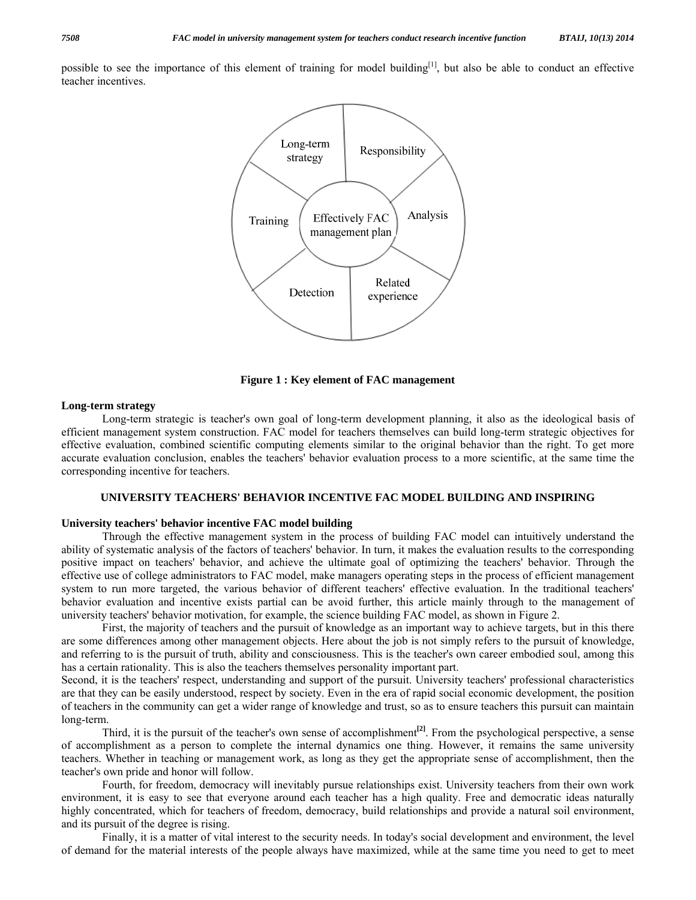possible to see the importance of this element of training for model building $[1]$ , but also be able to conduct an effective teacher incentives.



**Figure 1 : Key element of FAC management** 

#### **Long-term strategy**

 Long-term strategic is teacher's own goal of long-term development planning, it also as the ideological basis of efficient management system construction. FAC model for teachers themselves can build long-term strategic objectives for effective evaluation, combined scientific computing elements similar to the original behavior than the right. To get more accurate evaluation conclusion, enables the teachers' behavior evaluation process to a more scientific, at the same time the corresponding incentive for teachers.

#### **UNIVERSITY TEACHERS' BEHAVIOR INCENTIVE FAC MODEL BUILDING AND INSPIRING**

### **University teachers' behavior incentive FAC model building**

 Through the effective management system in the process of building FAC model can intuitively understand the ability of systematic analysis of the factors of teachers' behavior. In turn, it makes the evaluation results to the corresponding positive impact on teachers' behavior, and achieve the ultimate goal of optimizing the teachers' behavior. Through the effective use of college administrators to FAC model, make managers operating steps in the process of efficient management system to run more targeted, the various behavior of different teachers' effective evaluation. In the traditional teachers' behavior evaluation and incentive exists partial can be avoid further, this article mainly through to the management of university teachers' behavior motivation, for example, the science building FAC model, as shown in Figure 2.

 First, the majority of teachers and the pursuit of knowledge as an important way to achieve targets, but in this there are some differences among other management objects. Here about the job is not simply refers to the pursuit of knowledge, and referring to is the pursuit of truth, ability and consciousness. This is the teacher's own career embodied soul, among this has a certain rationality. This is also the teachers themselves personality important part.

Second, it is the teachers' respect, understanding and support of the pursuit. University teachers' professional characteristics are that they can be easily understood, respect by society. Even in the era of rapid social economic development, the position of teachers in the community can get a wider range of knowledge and trust, so as to ensure teachers this pursuit can maintain long-term.

Third, it is the pursuit of the teacher's own sense of accomplishment<sup>[2]</sup>. From the psychological perspective, a sense of accomplishment as a person to complete the internal dynamics one thing. However, it remains the same university teachers. Whether in teaching or management work, as long as they get the appropriate sense of accomplishment, then the teacher's own pride and honor will follow.

 Fourth, for freedom, democracy will inevitably pursue relationships exist. University teachers from their own work environment, it is easy to see that everyone around each teacher has a high quality. Free and democratic ideas naturally highly concentrated, which for teachers of freedom, democracy, build relationships and provide a natural soil environment, and its pursuit of the degree is rising.

 Finally, it is a matter of vital interest to the security needs. In today's social development and environment, the level of demand for the material interests of the people always have maximized, while at the same time you need to get to meet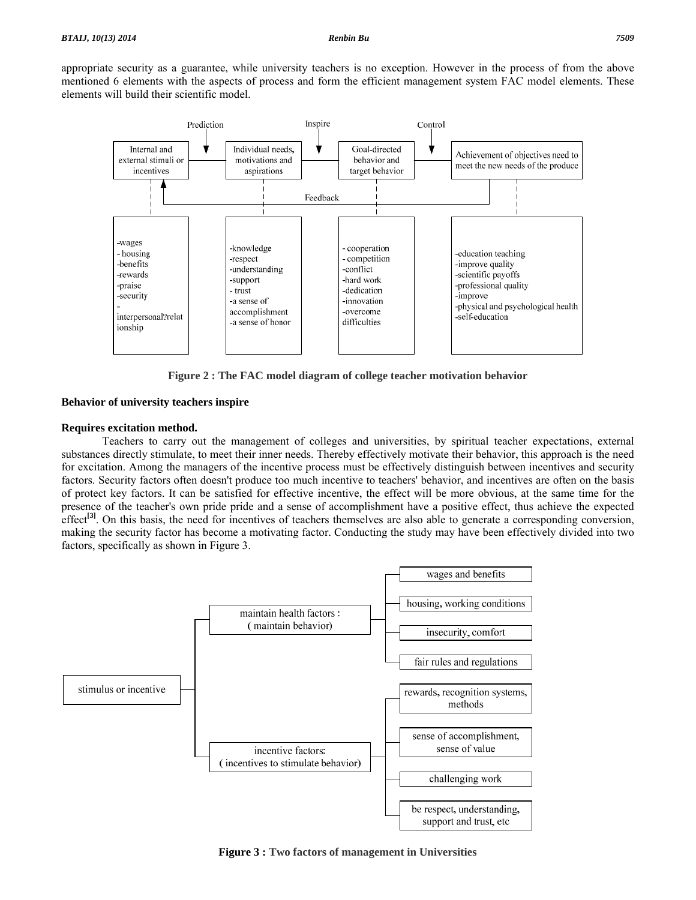appropriate security as a guarantee, while university teachers is no exception. However in the process of from the above mentioned 6 elements with the aspects of process and form the efficient management system FAC model elements. These elements will build their scientific model.



**Figure 2 : The FAC model diagram of college teacher motivation behavior**

### **Behavior of university teachers inspire**

#### **Requires excitation method.**

 Teachers to carry out the management of colleges and universities, by spiritual teacher expectations, external substances directly stimulate, to meet their inner needs. Thereby effectively motivate their behavior, this approach is the need for excitation. Among the managers of the incentive process must be effectively distinguish between incentives and security factors. Security factors often doesn't produce too much incentive to teachers' behavior, and incentives are often on the basis of protect key factors. It can be satisfied for effective incentive, the effect will be more obvious, at the same time for the presence of the teacher's own pride pride and a sense of accomplishment have a positive effect, thus achieve the expected effect<sup>[3]</sup>. On this basis, the need for incentives of teachers themselves are also able to generate a corresponding conversion, making the security factor has become a motivating factor. Conducting the study may have been effectively divided into two factors, specifically as shown in Figure 3.



**Figure 3 : Two factors of management in Universities**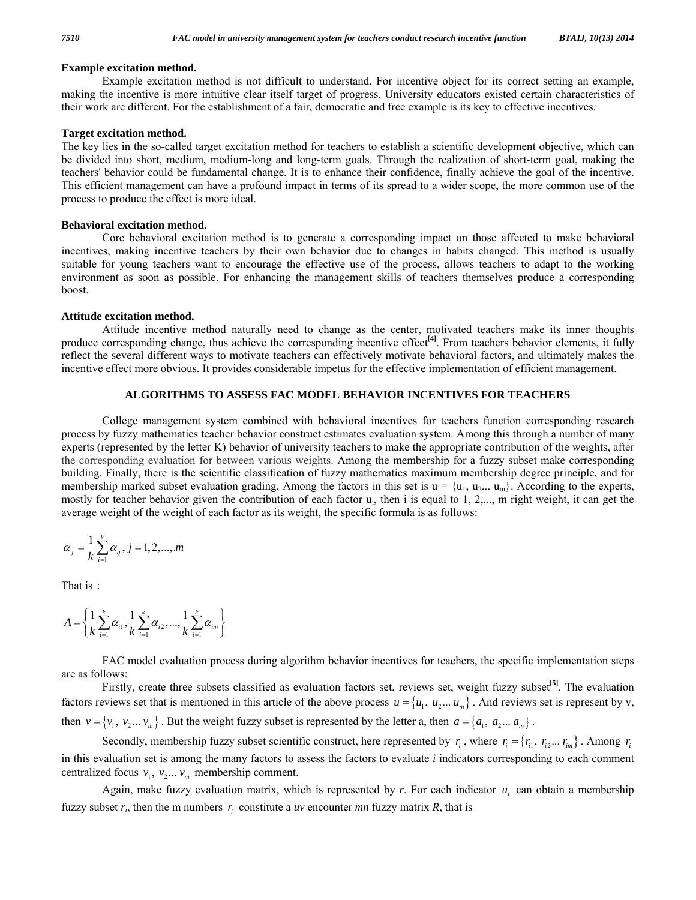#### **Example excitation method.**

 Example excitation method is not difficult to understand. For incentive object for its correct setting an example, making the incentive is more intuitive clear itself target of progress. University educators existed certain characteristics of their work are different. For the establishment of a fair, democratic and free example is its key to effective incentives.

#### **Target excitation method.**

The key lies in the so-called target excitation method for teachers to establish a scientific development objective, which can be divided into short, medium, medium-long and long-term goals. Through the realization of short-term goal, making the teachers' behavior could be fundamental change. It is to enhance their confidence, finally achieve the goal of the incentive. This efficient management can have a profound impact in terms of its spread to a wider scope, the more common use of the process to produce the effect is more ideal.

#### **Behavioral excitation method.**

 Core behavioral excitation method is to generate a corresponding impact on those affected to make behavioral incentives, making incentive teachers by their own behavior due to changes in habits changed. This method is usually suitable for young teachers want to encourage the effective use of the process, allows teachers to adapt to the working environment as soon as possible. For enhancing the management skills of teachers themselves produce a corresponding boost.

#### **Attitude excitation method.**

 Attitude incentive method naturally need to change as the center, motivated teachers make its inner thoughts produce corresponding change, thus achieve the corresponding incentive effect<sup>[4]</sup>. From teachers behavior elements, it fully reflect the several different ways to motivate teachers can effectively motivate behavioral factors, and ultimately makes the incentive effect more obvious. It provides considerable impetus for the effective implementation of efficient management.

#### **ALGORITHMS TO ASSESS FAC MODEL BEHAVIOR INCENTIVES FOR TEACHERS**

 College management system combined with behavioral incentives for teachers function corresponding research process by fuzzy mathematics teacher behavior construct estimates evaluation system. Among this through a number of many experts (represented by the letter K) behavior of university teachers to make the appropriate contribution of the weights, after the corresponding evaluation for between various weights. Among the membership for a fuzzy subset make corresponding building. Finally, there is the scientific classification of fuzzy mathematics maximum membership degree principle, and for membership marked subset evaluation grading. Among the factors in this set is  $u = {u_1, u_2... u_m}$ . According to the experts, mostly for teacher behavior given the contribution of each factor ui, then i is equal to 1, 2,..., m right weight, it can get the average weight of the weight of each factor as its weight, the specific formula is as follows:

$$
\alpha_j = \frac{1}{k} \sum_{i=1}^{k} \alpha_{ij}, j = 1, 2, ..., m
$$

That is:

$$
A = \left\{ \frac{1}{k} \sum_{i=1}^{k} \alpha_{i1}, \frac{1}{k} \sum_{i=1}^{k} \alpha_{i2}, \dots, \frac{1}{k} \sum_{i=1}^{k} \alpha_{im} \right\}
$$

 FAC model evaluation process during algorithm behavior incentives for teachers, the specific implementation steps are as follows:

 Firstly, create three subsets classified as evaluation factors set, reviews set, weight fuzzy subset**[5]**. The evaluation factors reviews set that is mentioned in this article of the above process  $u = \{u_1, u_2, \ldots, u_m\}$ . And reviews set is represent by v, then  $v = \{v_1, v_2 ... v_m\}$ . But the weight fuzzy subset is represented by the letter a, then  $a = \{a_1, a_2 ... a_m\}$ .

Secondly, membership fuzzy subset scientific construct, here represented by  $r_i$ , where  $r_i = \{r_{i1}, r_{i2} \dots r_{im}\}\$ . Among  $r_i$ in this evaluation set is among the many factors to assess the factors to evaluate *i* indicators corresponding to each comment centralized focus  $v_1, v_2... v_m$  membership comment.

Again, make fuzzy evaluation matrix, which is represented by  $r$ . For each indicator  $u_i$  can obtain a membership fuzzy subset  $r_i$ , then the m numbers  $r_i$  constitute a *uv* encounter *mn* fuzzy matrix  $R$ , that is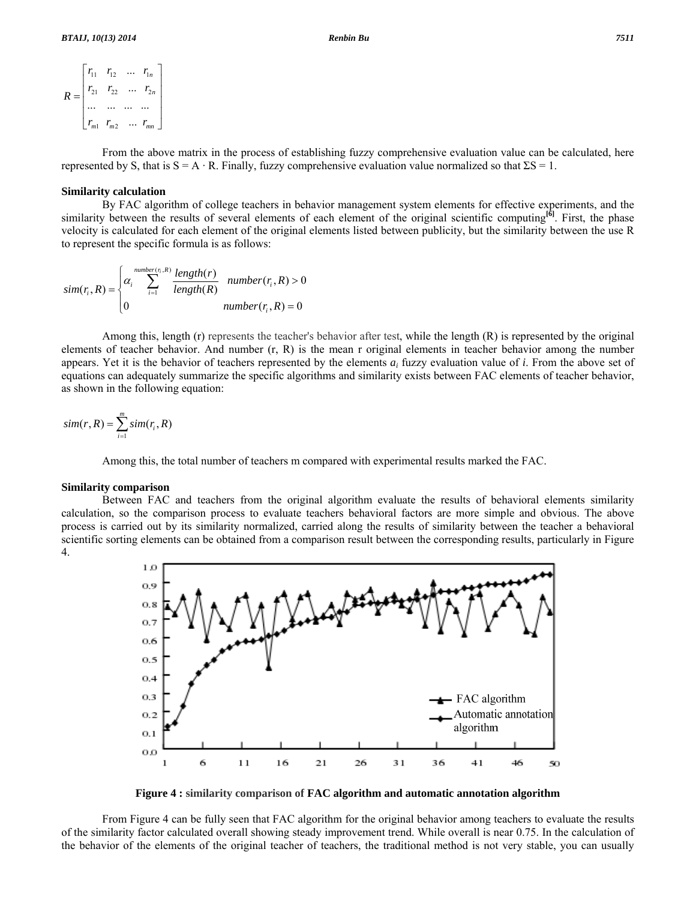$$
R = \begin{bmatrix} r_{11} & r_{12} & \dots & r_{1n} \\ r_{21} & r_{22} & \dots & r_{2n} \\ \dots & \dots & \dots & \dots \\ r_{m1} & r_{m2} & \dots & r_{mn} \end{bmatrix}
$$

 From the above matrix in the process of establishing fuzzy comprehensive evaluation value can be calculated, here represented by S, that is  $S = A \cdot R$ . Finally, fuzzy comprehensive evaluation value normalized so that  $\Sigma S = 1$ .

#### **Similarity calculation**

 By FAC algorithm of college teachers in behavior management system elements for effective experiments, and the similarity between the results of several elements of each element of the original scientific computing<sup>[6]</sup>. First, the phase velocity is calculated for each element of the original elements listed between publicity, but the similarity between the use R to represent the specific formula is as follows:

$$
sim(r_i, R) = \begin{cases} \alpha_i \sum_{i=1}^{number(r_i, R)} \frac{length(r)}{length(R)} & number(r_i, R) > 0\\ 0 & number(r_i, R) = 0 \end{cases}
$$

 Among this, length (r) represents the teacher's behavior after test, while the length (R) is represented by the original elements of teacher behavior. And number (r, R) is the mean r original elements in teacher behavior among the number appears. Yet it is the behavior of teachers represented by the elements *ai* fuzzy evaluation value of *i*. From the above set of equations can adequately summarize the specific algorithms and similarity exists between FAC elements of teacher behavior, as shown in the following equation:

$$
sim(r, R) = \sum_{i=1}^{m} sim(r_i, R)
$$

Among this, the total number of teachers m compared with experimental results marked the FAC.

#### **Similarity comparison**

 Between FAC and teachers from the original algorithm evaluate the results of behavioral elements similarity calculation, so the comparison process to evaluate teachers behavioral factors are more simple and obvious. The above process is carried out by its similarity normalized, carried along the results of similarity between the teacher a behavioral scientific sorting elements can be obtained from a comparison result between the corresponding results, particularly in Figure 4.



**Figure 4 : similarity comparison of FAC algorithm and automatic annotation algorithm** 

 From Figure 4 can be fully seen that FAC algorithm for the original behavior among teachers to evaluate the results of the similarity factor calculated overall showing steady improvement trend. While overall is near 0.75. In the calculation of the behavior of the elements of the original teacher of teachers, the traditional method is not very stable, you can usually